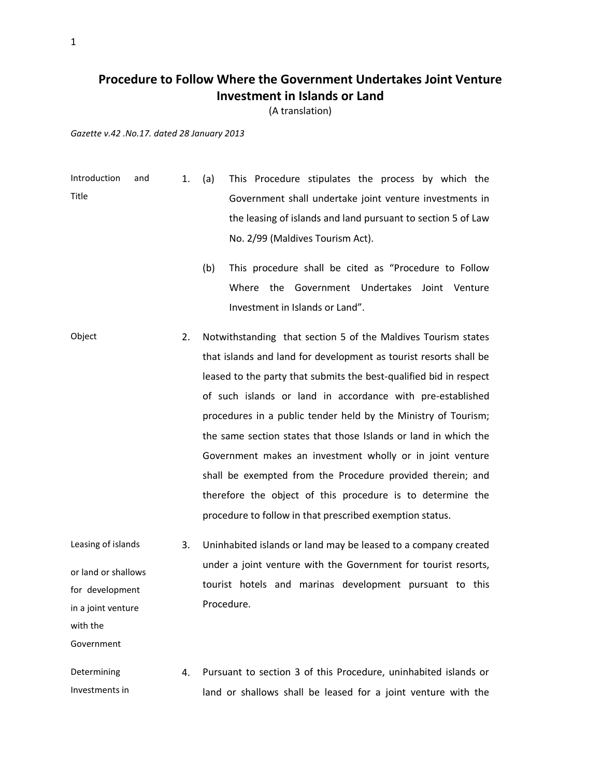## **Procedure to Follow Where the Government Undertakes Joint Venture Investment in Islands or Land**

(A translation)

*Gazette v.42 .No.17. dated 28 January 2013*

- Introduction and Title 1. (a) This Procedure stipulates the process by which the Government shall undertake joint venture investments in the leasing of islands and land pursuant to section 5 of Law No. 2/99 (Maldives Tourism Act).
	- (b) This procedure shall be cited as "Procedure to Follow Where the Government Undertakes Joint Venture Investment in Islands or Land".
- Object 2. Notwithstanding that section 5 of the Maldives Tourism states that islands and land for development as tourist resorts shall be leased to the party that submits the best-qualified bid in respect of such islands or land in accordance with pre-established procedures in a public tender held by the Ministry of Tourism; the same section states that those Islands or land in which the Government makes an investment wholly or in joint venture shall be exempted from the Procedure provided therein; and therefore the object of this procedure is to determine the procedure to follow in that prescribed exemption status.
- Leasing of islands or land or shallows for development in a joint venture 3. Uninhabited islands or land may be leased to a company created under a joint venture with the Government for tourist resorts, tourist hotels and marinas development pursuant to this Procedure.
- Determining Investments in 4. Pursuant to section 3 of this Procedure, uninhabited islands or land or shallows shall be leased for a joint venture with the

with the

Government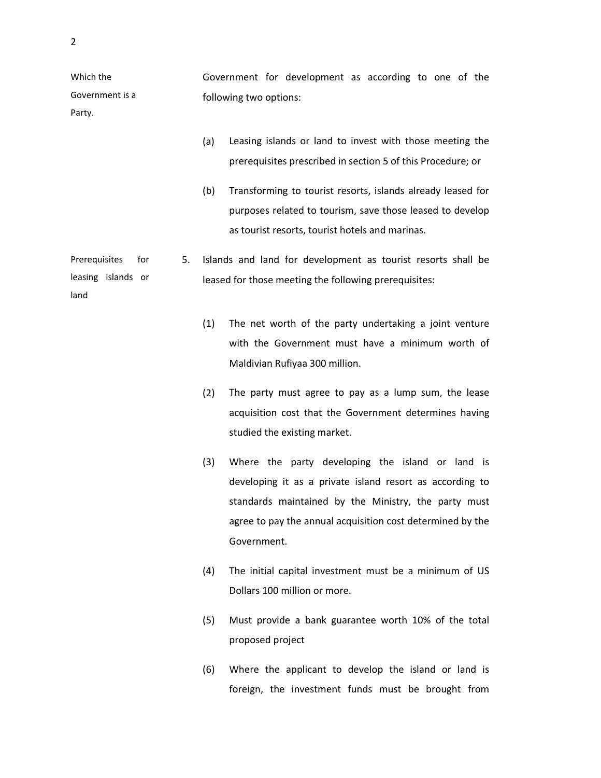| Which the                  | Government for development as according to one of the              |
|----------------------------|--------------------------------------------------------------------|
| Government is a            | following two options:                                             |
| Party.                     |                                                                    |
|                            | Leasing islands or land to invest with those meeting the<br>(a)    |
|                            | prerequisites prescribed in section 5 of this Procedure; or        |
|                            | (b)<br>Transforming to tourist resorts, islands already leased for |
|                            | purposes related to tourism, save those leased to develop          |
|                            | as tourist resorts, tourist hotels and marinas.                    |
| Prerequisites<br>for<br>5. | Islands and land for development as tourist resorts shall be       |
| leasing islands or         | leased for those meeting the following prerequisites:              |
| land                       |                                                                    |
|                            | (1)<br>The net worth of the party undertaking a joint venture      |
|                            | with the Government must have a minimum worth of                   |
|                            | Maldivian Rufiyaa 300 million.                                     |
|                            | The party must agree to pay as a lump sum, the lease<br>(2)        |
|                            | acquisition cost that the Government determines having             |
|                            | studied the existing market.                                       |
|                            | Where the party developing the island or land is<br>(3)            |
|                            | developing it as a private island resort as according to           |
|                            | standards maintained by the Ministry, the party must               |
|                            | agree to pay the annual acquisition cost determined by the         |
|                            | Government.                                                        |
|                            | (4)<br>The initial capital investment must be a minimum of US      |
|                            | Dollars 100 million or more.                                       |
|                            | (5)<br>Must provide a bank guarantee worth 10% of the total        |
|                            | proposed project                                                   |
|                            |                                                                    |

(6) Where the applicant to develop the island or land is foreign, the investment funds must be brought from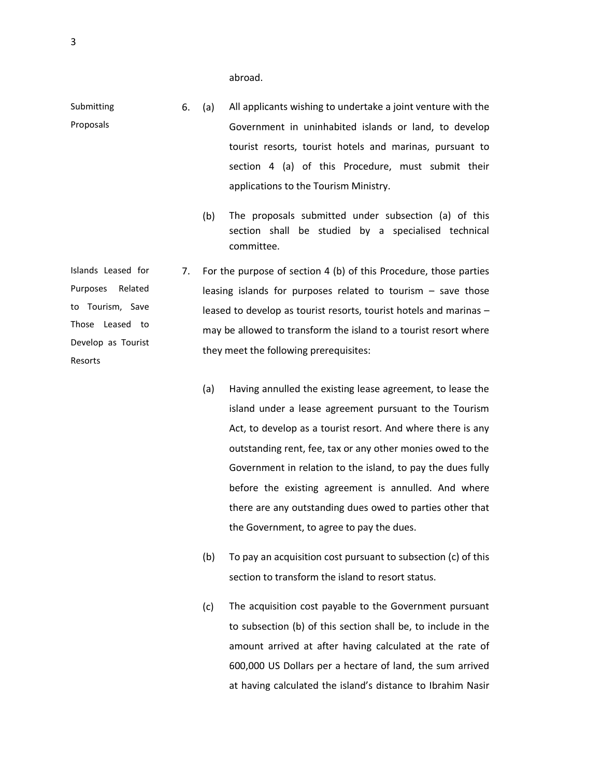abroad.

Submitting Proposals 6. (a) All applicants wishing to undertake a joint venture with the Government in uninhabited islands or land, to develop tourist resorts, tourist hotels and marinas, pursuant to section 4 (a) of this Procedure, must submit their applications to the Tourism Ministry.

> (b) The proposals submitted under subsection (a) of this section shall be studied by a specialised technical committee.

Islands Leased for Purposes Related to Tourism, Save Those Leased to Develop as Tourist Resorts 7. For the purpose of section 4 (b) of this Procedure, those parties leasing islands for purposes related to tourism – save those leased to develop as tourist resorts, tourist hotels and marinas – may be allowed to transform the island to a tourist resort where they meet the following prerequisites:

- (a) Having annulled the existing lease agreement, to lease the island under a lease agreement pursuant to the Tourism Act, to develop as a tourist resort. And where there is any outstanding rent, fee, tax or any other monies owed to the Government in relation to the island, to pay the dues fully before the existing agreement is annulled. And where there are any outstanding dues owed to parties other that the Government, to agree to pay the dues.
- (b) To pay an acquisition cost pursuant to subsection (c) of this section to transform the island to resort status.
- (c) The acquisition cost payable to the Government pursuant to subsection (b) of this section shall be, to include in the amount arrived at after having calculated at the rate of 600,000 US Dollars per a hectare of land, the sum arrived at having calculated the island's distance to Ibrahim Nasir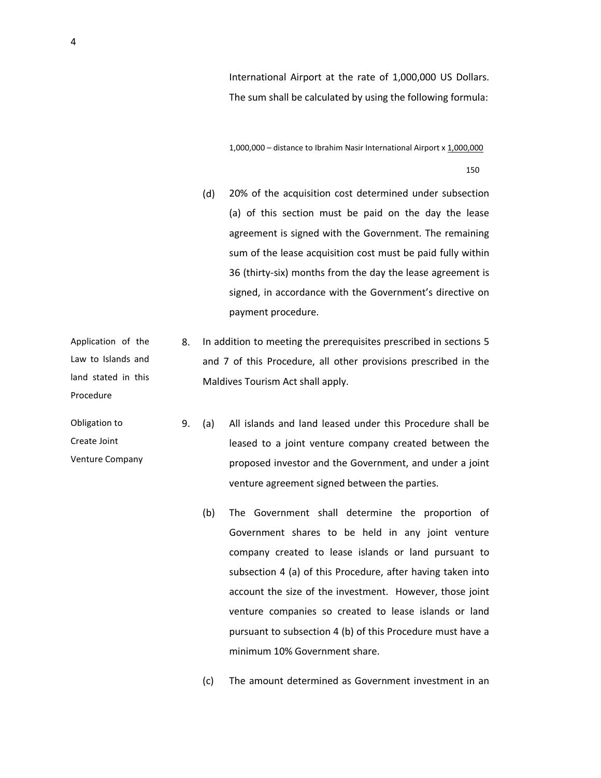International Airport at the rate of 1,000,000 US Dollars. The sum shall be calculated by using the following formula:

1,000,000 – distance to Ibrahim Nasir International Airport x 1,000,000

150

- (d) 20% of the acquisition cost determined under subsection (a) of this section must be paid on the day the lease agreement is signed with the Government. The remaining sum of the lease acquisition cost must be paid fully within 36 (thirty-six) months from the day the lease agreement is signed, in accordance with the Government's directive on payment procedure.
- Application of the Law to Islands and land stated in this 8. In addition to meeting the prerequisites prescribed in sections 5 and 7 of this Procedure, all other provisions prescribed in the Maldives Tourism Act shall apply.
- Venture Company 9. (a) All islands and land leased under this Procedure shall be leased to a joint venture company created between the proposed investor and the Government, and under a joint venture agreement signed between the parties.
	- (b) The Government shall determine the proportion of Government shares to be held in any joint venture company created to lease islands or land pursuant to subsection 4 (a) of this Procedure, after having taken into account the size of the investment. However, those joint venture companies so created to lease islands or land pursuant to subsection 4 (b) of this Procedure must have a minimum 10% Government share.
	- (c) The amount determined as Government investment in an

Procedure

Obligation to Create Joint